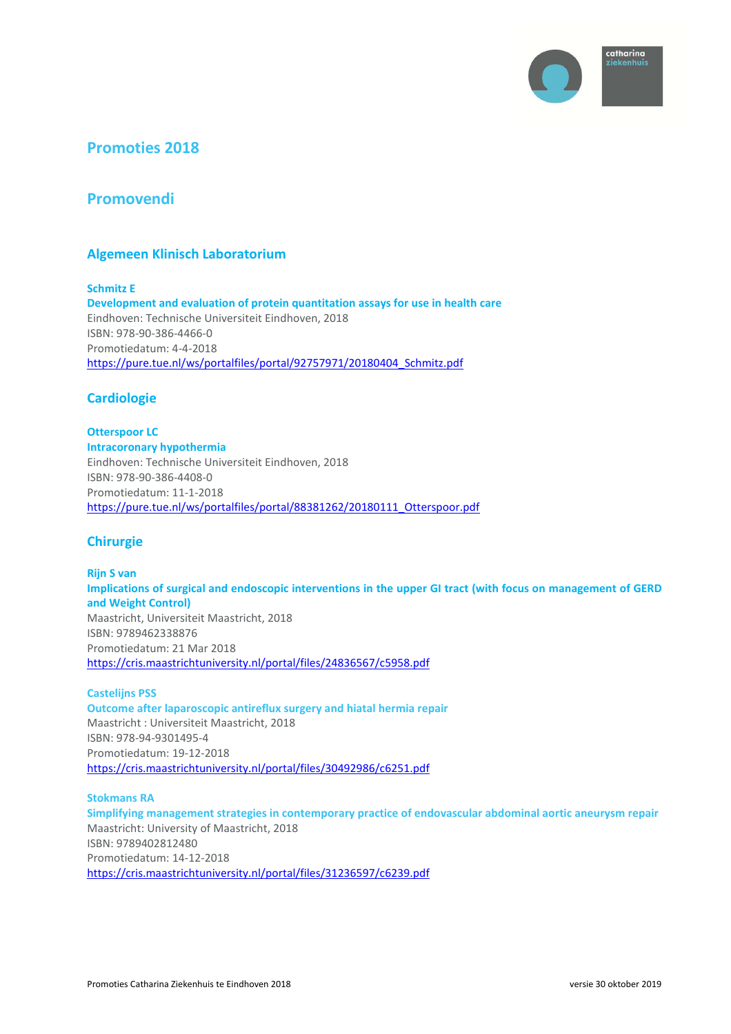

# **Promoties 2018**

# **Promovendi**

## **Algemeen Klinisch Laboratorium**

**Schmitz E Development and evaluation of protein quantitation assays for use in health care**  Eindhoven: Technische Universiteit Eindhoven, 2018 ISBN: 978-90-386-4466-0 Promotiedatum: 4-4-2018 https://pure.tue.nl/ws/portalfiles/portal/92757971/20180404 Schmitz.pdf

## **Cardiologie**

**Otterspoor LC Intracoronary hypothermia**  Eindhoven: Technische Universiteit Eindhoven, 2018 ISBN: 978-90-386-4408-0 Promotiedatum: 11-1-2018 https://pure.tue.nl/ws/portalfiles/portal/88381262/20180111\_Otterspoor.pdf

## **Chirurgie**

**Rijn S van Implications of surgical and endoscopic interventions in the upper GI tract (with focus on management of GERD and Weight Control)**  Maastricht, Universiteit Maastricht, 2018 ISBN: 9789462338876 Promotiedatum: 21 Mar 2018 https://cris.maastrichtuniversity.nl/portal/files/24836567/c5958.pdf

### **Castelijns PSS**

**Outcome after laparoscopic antireflux surgery and hiatal hermia repair**  Maastricht : Universiteit Maastricht, 2018 ISBN: 978-94-9301495-4 Promotiedatum: 19-12-2018 https://cris.maastrichtuniversity.nl/portal/files/30492986/c6251.pdf

### **Stokmans RA**

**Simplifying management strategies in contemporary practice of endovascular abdominal aortic aneurysm repair**  Maastricht: University of Maastricht, 2018 ISBN: 9789402812480 Promotiedatum: 14-12-2018 https://cris.maastrichtuniversity.nl/portal/files/31236597/c6239.pdf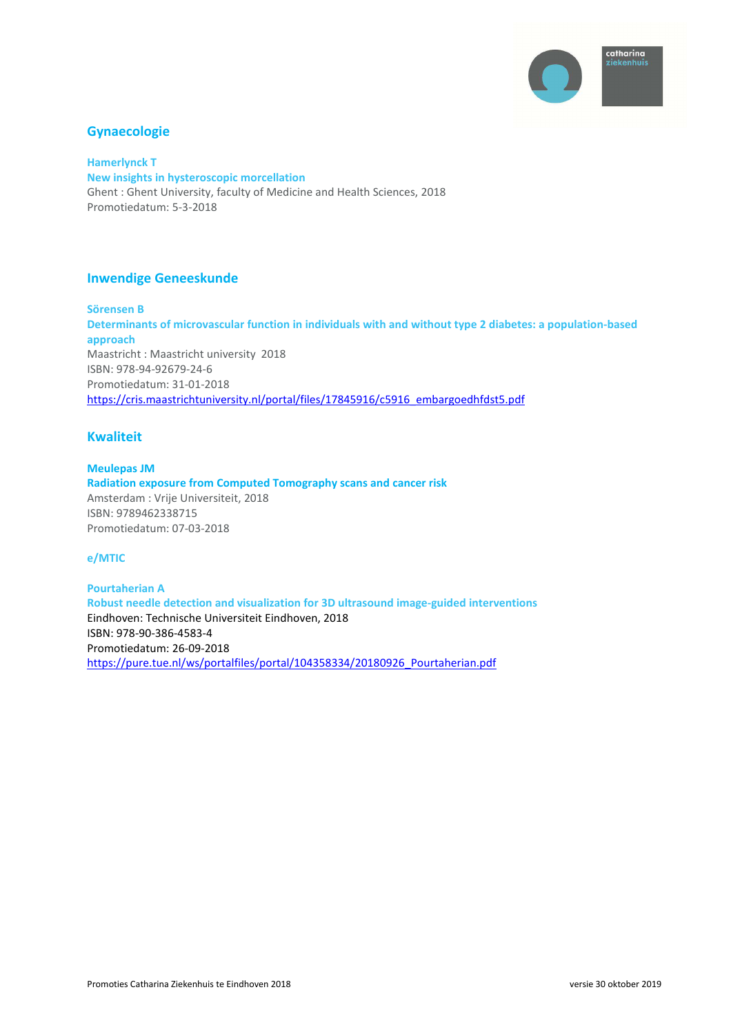

## **Gynaecologie**

**Hamerlynck T New insights in hysteroscopic morcellation**  Ghent : Ghent University, faculty of Medicine and Health Sciences, 2018 Promotiedatum: 5-3-2018

## **Inwendige Geneeskunde**

**Sörensen B Determinants of microvascular function in individuals with and without type 2 diabetes: a population-based approach**  Maastricht : Maastricht university 2018 ISBN: 978-94-92679-24-6 Promotiedatum: 31-01-2018 https://cris.maastrichtuniversity.nl/portal/files/17845916/c5916\_embargoedhfdst5.pdf

## **Kwaliteit**

**Meulepas JM Radiation exposure from Computed Tomography scans and cancer risk**  Amsterdam : Vrije Universiteit, 2018 ISBN: 9789462338715 Promotiedatum: 07-03-2018

### **e/MTIC**

**Pourtaherian A Robust needle detection and visualization for 3D ultrasound image-guided interventions**  Eindhoven: Technische Universiteit Eindhoven, 2018 ISBN: 978-90-386-4583-4 Promotiedatum: 26-09-2018 https://pure.tue.nl/ws/portalfiles/portal/104358334/20180926\_Pourtaherian.pdf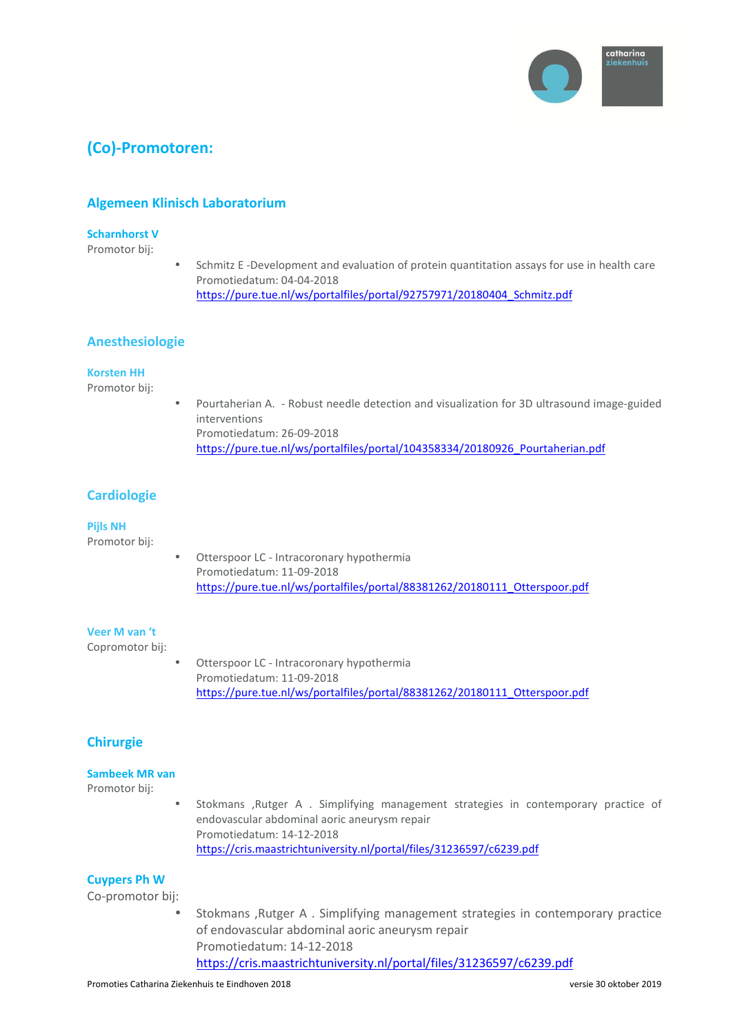

# **(Co)-Promotoren:**

## **Algemeen Klinisch Laboratorium**

#### **Scharnhorst V**

Promotor bij:

• Schmitz E -Development and evaluation of protein quantitation assays for use in health care Promotiedatum: 04-04-2018 https://pure.tue.nl/ws/portalfiles/portal/92757971/20180404\_Schmitz.pdf

## **Anesthesiologie**

#### **Korsten HH**

Promotor bij:

• Pourtaherian A. - Robust needle detection and visualization for 3D ultrasound image-guided interventions Promotiedatum: 26-09-2018 https://pure.tue.nl/ws/portalfiles/portal/104358334/20180926\_Pourtaherian.pdf

## **Cardiologie**

#### **Pijls NH**

Promotor bij:

Otterspoor LC - Intracoronary hypothermia Promotiedatum: 11-09-2018 https://pure.tue.nl/ws/portalfiles/portal/88381262/20180111\_Otterspoor.pdf

#### **Veer M van 't**

Copromotor bij:

Otterspoor LC - Intracoronary hypothermia Promotiedatum: 11-09-2018 https://pure.tue.nl/ws/portalfiles/portal/88381262/20180111\_Otterspoor.pdf

## **Chirurgie**

#### **Sambeek MR van**

Promotor bij:

• Stokmans ,Rutger A . Simplifying management strategies in contemporary practice of endovascular abdominal aoric aneurysm repair Promotiedatum: 14-12-2018 https://cris.maastrichtuniversity.nl/portal/files/31236597/c6239.pdf

## **Cuypers Ph W**

Co-promotor bij:

• Stokmans ,Rutger A . Simplifying management strategies in contemporary practice of endovascular abdominal aoric aneurysm repair Promotiedatum: 14-12-2018 https://cris.maastrichtuniversity.nl/portal/files/31236597/c6239.pdf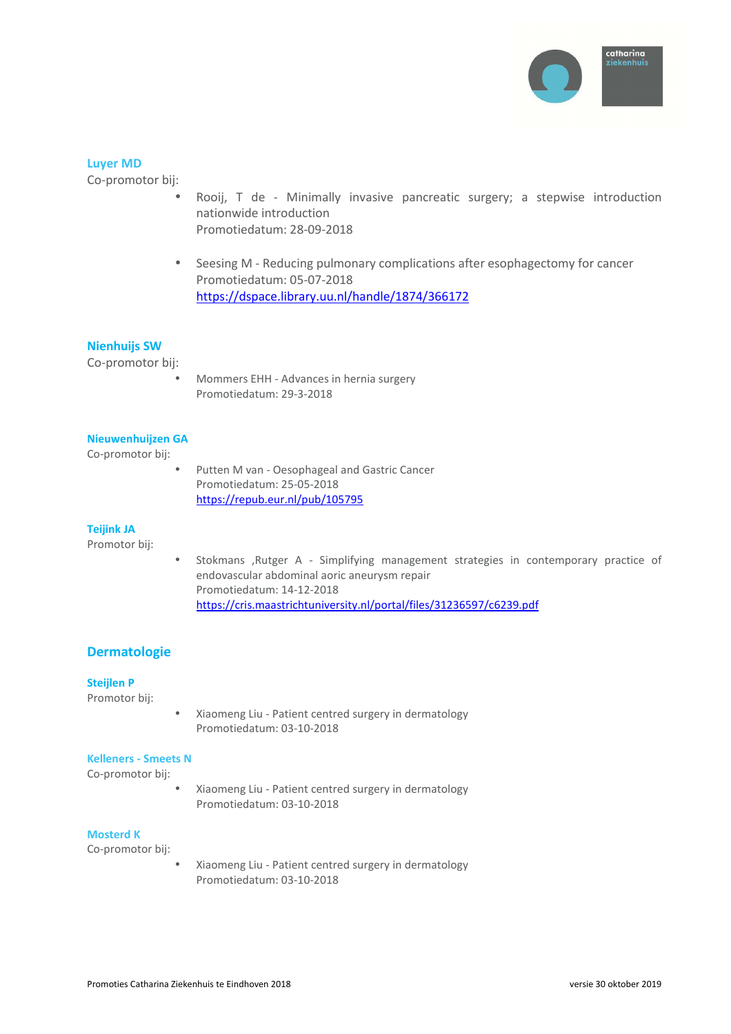

### **Luyer MD**

Co-promotor bij:

- Rooij, T de Minimally invasive pancreatic surgery; a stepwise introduction nationwide introduction Promotiedatum: 28-09-2018
- Seesing M Reducing pulmonary complications after esophagectomy for cancer Promotiedatum: 05-07-2018 https://dspace.library.uu.nl/handle/1874/366172

## **Nienhuijs SW**

Co-promotor bij:

• Mommers EHH - Advances in hernia surgery Promotiedatum: 29-3-2018

### **Nieuwenhuijzen GA**

Co-promotor bij:

• Putten M van - Oesophageal and Gastric Cancer Promotiedatum: 25-05-2018 https://repub.eur.nl/pub/105795

#### **Teijink JA**

Promotor bij:

• Stokmans ,Rutger A - Simplifying management strategies in contemporary practice of endovascular abdominal aoric aneurysm repair Promotiedatum: 14-12-2018 https://cris.maastrichtuniversity.nl/portal/files/31236597/c6239.pdf

## **Dermatologie**

### **Steijlen P**

Promotor bij:

• Xiaomeng Liu - Patient centred surgery in dermatology Promotiedatum: 03-10-2018

#### **Kelleners - Smeets N**

Co-promotor bij:

• Xiaomeng Liu - Patient centred surgery in dermatology Promotiedatum: 03-10-2018

#### **Mosterd K**

Co-promotor bij:

• Xiaomeng Liu - Patient centred surgery in dermatology Promotiedatum: 03-10-2018